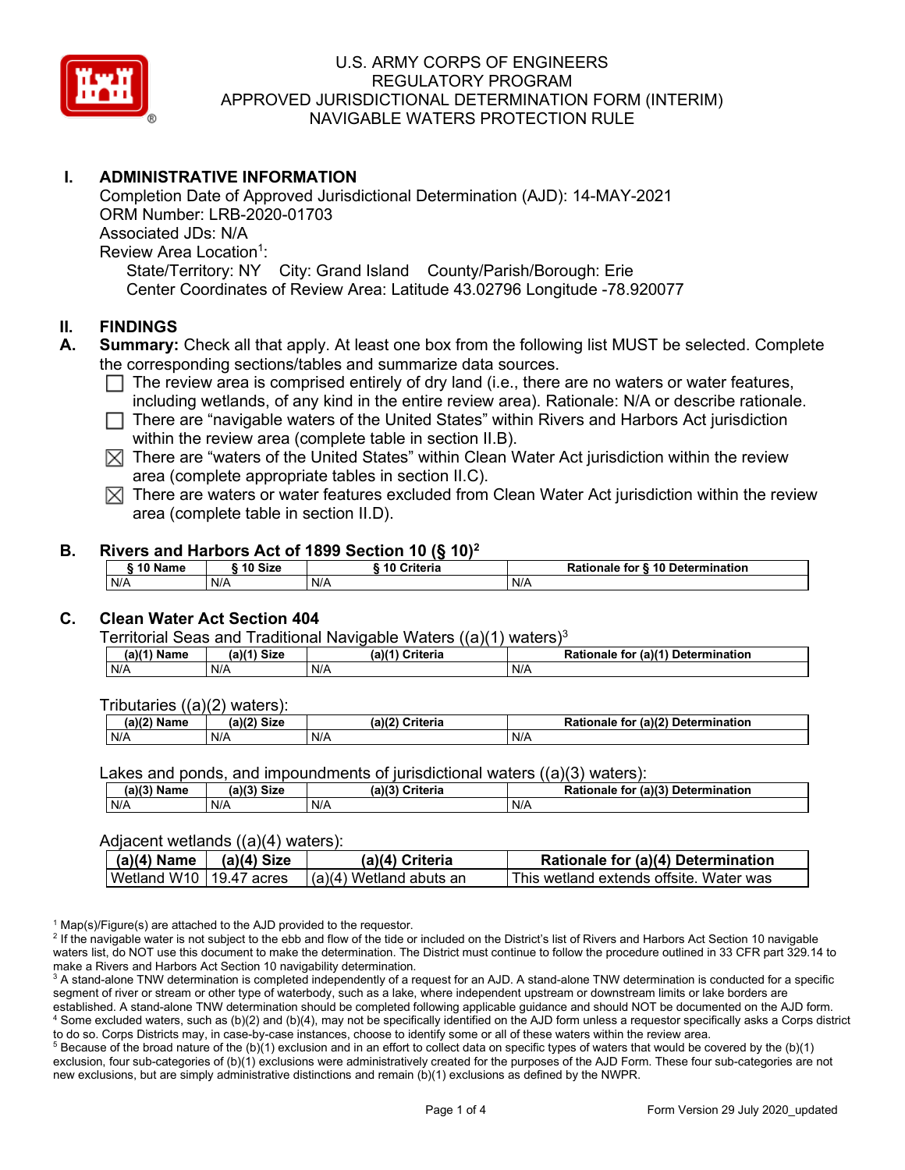

# **I. ADMINISTRATIVE INFORMATION**

Completion Date of Approved Jurisdictional Determination (AJD): 14-MAY-2021 ORM Number: LRB-2020-01703 Associated JDs: N/A Review Area Location<sup>1</sup>: State/Territory: NY City: Grand Island County/Parish/Borough: Erie Center Coordinates of Review Area: Latitude 43.02796 Longitude -78.920077

#### **II. FINDINGS**

- **A. Summary:** Check all that apply. At least one box from the following list MUST be selected. Complete the corresponding sections/tables and summarize data sources.
	- $\Box$  The review area is comprised entirely of dry land (i.e., there are no waters or water features, including wetlands, of any kind in the entire review area). Rationale: N/A or describe rationale.
	- $\Box$  There are "navigable waters of the United States" within Rivers and Harbors Act jurisdiction within the review area (complete table in section II.B).
	- $\boxtimes$  There are "waters of the United States" within Clean Water Act jurisdiction within the review area (complete appropriate tables in section II.C).
	- $\boxtimes$  There are waters or water features excluded from Clean Water Act jurisdiction within the review area (complete table in section II.D).

#### **B. Rivers and Harbors Act of 1899 Section 10 (§ 10)2**

|     | ົ 10 Name |     | ົ 10 Size | Criteria<br>. 1 U |     | Rationale for § 10 Determination |  |
|-----|-----------|-----|-----------|-------------------|-----|----------------------------------|--|
| N/A |           | N/A |           | N/A               | N/A |                                  |  |

# **C. Clean Water Act Section 404**

Territorial Seas and Traditional Navigable Waters  $((a)(1)$  waters)<sup>3</sup>

| $(a)(1)$ $^{\prime\prime}$<br>Name | $(a)$ $(1)$<br>Size | $(a)$ $(4)$<br>Criteria | (a)(1) Determination<br>Rationale<br>for |
|------------------------------------|---------------------|-------------------------|------------------------------------------|
| N/A                                | N/A                 | N/A                     | N/A                                      |

Tributaries ((a)(2) waters):

| $1001$ $F_{\rm{H}}$<br>Name | $\sim$ 1/2<br>- 01-4<br>oizu | (a)(2)<br>Nuite aig<br>пе | $\mathcal{L}$<br>. Determination<br>TO |
|-----------------------------|------------------------------|---------------------------|----------------------------------------|
| N/A                         | N/A                          | .<br>N/A                  | N/A                                    |

Lakes and ponds, and impoundments of jurisdictional waters  $((a)(3)$  waters):

| (a)(3) Name | <b>Size</b><br>(a)(3) | (a)(3)<br><b>Criteria</b> | (a)(3)<br>Rationale<br><b>Determination</b><br>for |
|-------------|-----------------------|---------------------------|----------------------------------------------------|
| N/A         | N/A                   | N/A                       | N/A                                                |

#### Adjacent wetlands ((a)(4) waters):

| $(a)(4)$ Name             | $(a)(4)$ Size | (a)(4) Criteria           | <b>Rationale for (a)(4) Determination</b> |
|---------------------------|---------------|---------------------------|-------------------------------------------|
| Wetland W10   19.47 acres |               | $(a)(4)$ Wetland abuts an | l This wetland extends offsite. Water was |

 $1$  Map(s)/Figure(s) are attached to the AJD provided to the requestor.

<sup>2</sup> If the navigable water is not subject to the ebb and flow of the tide or included on the District's list of Rivers and Harbors Act Section 10 navigable waters list, do NOT use this document to make the determination. The District must continue to follow the procedure outlined in 33 CFR part 329.14 to make a Rivers and Harbors Act Section 10 navigability determination.

<sup>3</sup> A stand-alone TNW determination is completed independently of a request for an AJD. A stand-alone TNW determination is conducted for a specific segment of river or stream or other type of waterbody, such as a lake, where independent upstream or downstream limits or lake borders are established. A stand-alone TNW determination should be completed following applicable guidance and should NOT be documented on the AJD form. <sup>4</sup> Some excluded waters, such as (b)(2) and (b)(4), may not be specifically identified on the AJD form unless a requestor specifically asks a Corps district to do so. Corps Districts may, in case-by-case instances, choose to identify some or all of these waters within the review area.

 $5$  Because of the broad nature of the (b)(1) exclusion and in an effort to collect data on specific types of waters that would be covered by the (b)(1) exclusion, four sub-categories of (b)(1) exclusions were administratively created for the purposes of the AJD Form. These four sub-categories are not new exclusions, but are simply administrative distinctions and remain (b)(1) exclusions as defined by the NWPR.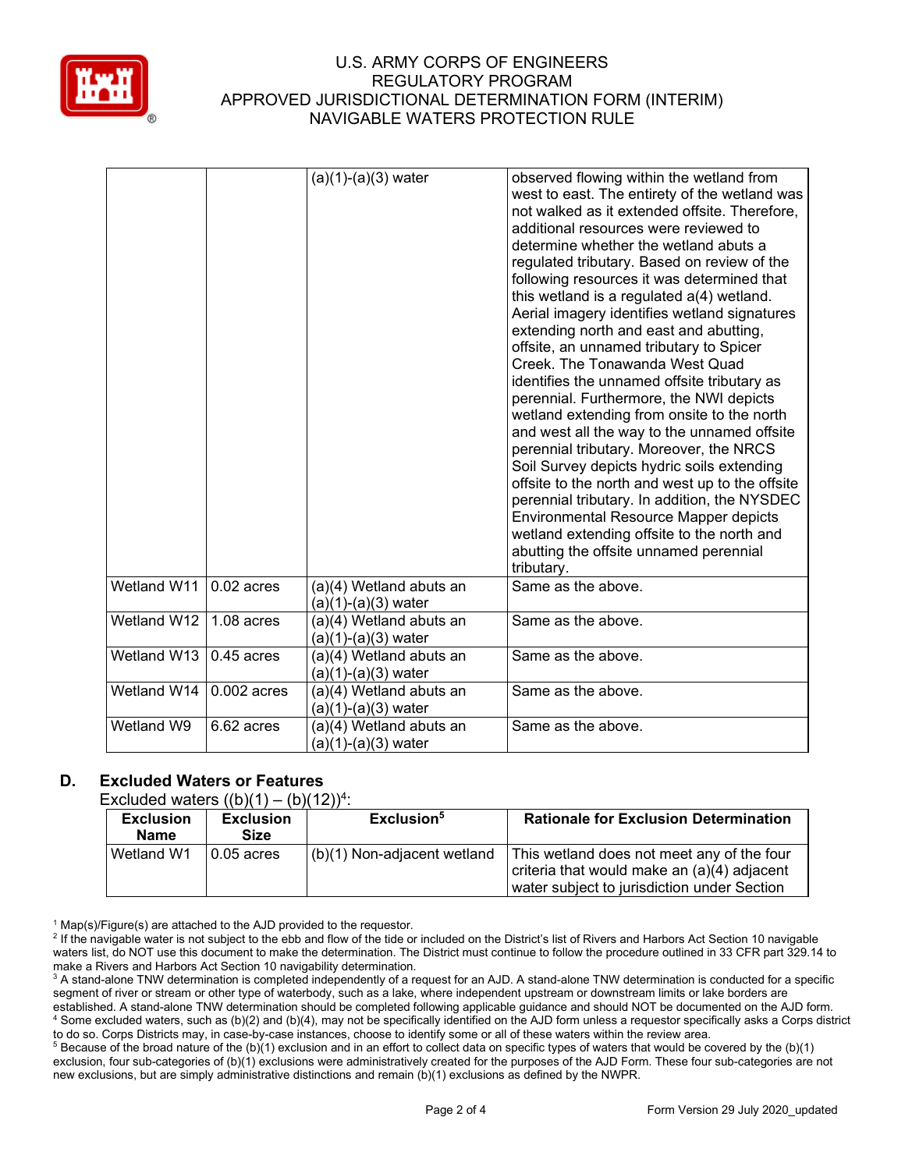

|             |               | $(a)(1)-(a)(3)$ water                          | observed flowing within the wetland from<br>west to east. The entirety of the wetland was<br>not walked as it extended offsite. Therefore,<br>additional resources were reviewed to<br>determine whether the wetland abuts a<br>regulated tributary. Based on review of the<br>following resources it was determined that<br>this wetland is a regulated a(4) wetland.<br>Aerial imagery identifies wetland signatures<br>extending north and east and abutting,<br>offsite, an unnamed tributary to Spicer<br>Creek. The Tonawanda West Quad<br>identifies the unnamed offsite tributary as<br>perennial. Furthermore, the NWI depicts<br>wetland extending from onsite to the north<br>and west all the way to the unnamed offsite<br>perennial tributary. Moreover, the NRCS<br>Soil Survey depicts hydric soils extending<br>offsite to the north and west up to the offsite<br>perennial tributary. In addition, the NYSDEC<br><b>Environmental Resource Mapper depicts</b><br>wetland extending offsite to the north and<br>abutting the offsite unnamed perennial<br>tributary. |
|-------------|---------------|------------------------------------------------|----------------------------------------------------------------------------------------------------------------------------------------------------------------------------------------------------------------------------------------------------------------------------------------------------------------------------------------------------------------------------------------------------------------------------------------------------------------------------------------------------------------------------------------------------------------------------------------------------------------------------------------------------------------------------------------------------------------------------------------------------------------------------------------------------------------------------------------------------------------------------------------------------------------------------------------------------------------------------------------------------------------------------------------------------------------------------------------|
| Wetland W11 | $0.02$ acres  | (a)(4) Wetland abuts an<br>(a)(1)-(a)(3) water | Same as the above.                                                                                                                                                                                                                                                                                                                                                                                                                                                                                                                                                                                                                                                                                                                                                                                                                                                                                                                                                                                                                                                                     |
| Wetland W12 | $1.08$ acres  | (a)(4) Wetland abuts an<br>(a)(1)-(a)(3) water | Same as the above.                                                                                                                                                                                                                                                                                                                                                                                                                                                                                                                                                                                                                                                                                                                                                                                                                                                                                                                                                                                                                                                                     |
| Wetland W13 | $0.45$ acres  | (a)(4) Wetland abuts an<br>(a)(1)-(a)(3) water | Same as the above.                                                                                                                                                                                                                                                                                                                                                                                                                                                                                                                                                                                                                                                                                                                                                                                                                                                                                                                                                                                                                                                                     |
| Wetland W14 | $0.002$ acres | (a)(4) Wetland abuts an<br>(a)(1)-(a)(3) water | Same as the above.                                                                                                                                                                                                                                                                                                                                                                                                                                                                                                                                                                                                                                                                                                                                                                                                                                                                                                                                                                                                                                                                     |
| Wetland W9  | 6.62 acres    | (a)(4) Wetland abuts an<br>(a)(1)-(a)(3) water | Same as the above.                                                                                                                                                                                                                                                                                                                                                                                                                                                                                                                                                                                                                                                                                                                                                                                                                                                                                                                                                                                                                                                                     |

# **D. Excluded Waters or Features**

Excluded waters  $((b)(1) - (b)(12))^4$ :

| <b>Exclusion</b><br><b>Name</b> | <b>Exclusion</b><br>Size | Exclusion <sup>5</sup>      | <b>Rationale for Exclusion Determination</b>                                                                                             |
|---------------------------------|--------------------------|-----------------------------|------------------------------------------------------------------------------------------------------------------------------------------|
| Wetland W1                      | $\vert$ 0.05 acres       | (b)(1) Non-adjacent wetland | This wetland does not meet any of the four<br>criteria that would make an (a)(4) adjacent<br>water subject to jurisdiction under Section |

 $1$  Map(s)/Figure(s) are attached to the AJD provided to the requestor.

<sup>2</sup> If the navigable water is not subject to the ebb and flow of the tide or included on the District's list of Rivers and Harbors Act Section 10 navigable waters list, do NOT use this document to make the determination. The District must continue to follow the procedure outlined in 33 CFR part 329.14 to make a Rivers and Harbors Act Section 10 navigability determination.

<sup>3</sup> A stand-alone TNW determination is completed independently of a request for an AJD. A stand-alone TNW determination is conducted for a specific segment of river or stream or other type of waterbody, such as a lake, where independent upstream or downstream limits or lake borders are established. A stand-alone TNW determination should be completed following applicable guidance and should NOT be documented on the AJD form. <sup>4</sup> Some excluded waters, such as (b)(2) and (b)(4), may not be specifically identified on the AJD form unless a requestor specifically asks a Corps district to do so. Corps Districts may, in case-by-case instances, choose to identify some or all of these waters within the review area.

<sup>5</sup> Because of the broad nature of the (b)(1) exclusion and in an effort to collect data on specific types of waters that would be covered by the (b)(1) exclusion, four sub-categories of (b)(1) exclusions were administratively created for the purposes of the AJD Form. These four sub-categories are not new exclusions, but are simply administrative distinctions and remain (b)(1) exclusions as defined by the NWPR.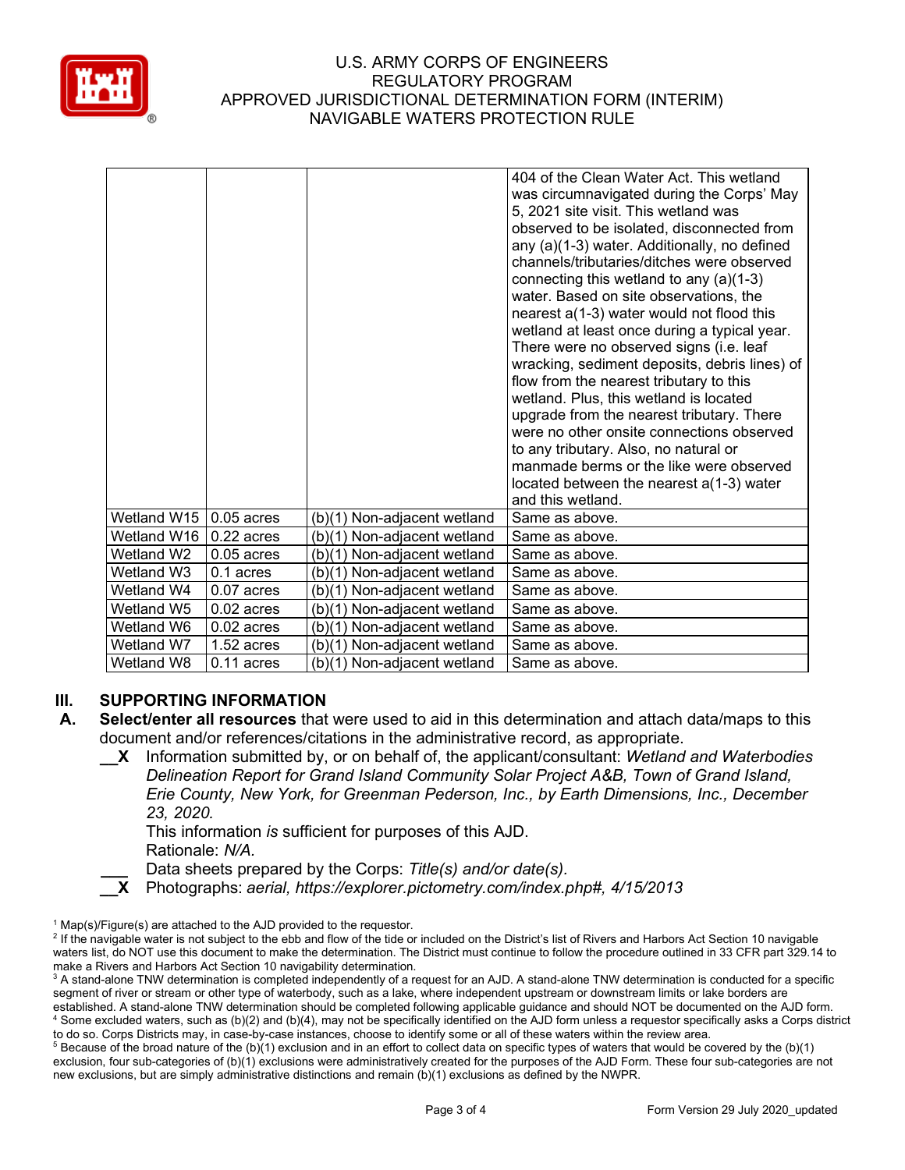

|             |              |                             | 404 of the Clean Water Act. This wetland<br>was circumnavigated during the Corps' May<br>5, 2021 site visit. This wetland was<br>observed to be isolated, disconnected from<br>any (a)(1-3) water. Additionally, no defined<br>channels/tributaries/ditches were observed<br>connecting this wetland to any (a)(1-3)<br>water. Based on site observations, the<br>nearest a(1-3) water would not flood this<br>wetland at least once during a typical year.<br>There were no observed signs (i.e. leaf<br>wracking, sediment deposits, debris lines) of<br>flow from the nearest tributary to this<br>wetland. Plus, this wetland is located<br>upgrade from the nearest tributary. There<br>were no other onsite connections observed<br>to any tributary. Also, no natural or<br>manmade berms or the like were observed<br>located between the nearest a(1-3) water<br>and this wetland. |
|-------------|--------------|-----------------------------|---------------------------------------------------------------------------------------------------------------------------------------------------------------------------------------------------------------------------------------------------------------------------------------------------------------------------------------------------------------------------------------------------------------------------------------------------------------------------------------------------------------------------------------------------------------------------------------------------------------------------------------------------------------------------------------------------------------------------------------------------------------------------------------------------------------------------------------------------------------------------------------------|
| Wetland W15 | $0.05$ acres | (b)(1) Non-adjacent wetland | Same as above.                                                                                                                                                                                                                                                                                                                                                                                                                                                                                                                                                                                                                                                                                                                                                                                                                                                                              |
| Wetland W16 | $0.22$ acres | (b)(1) Non-adjacent wetland | Same as above.                                                                                                                                                                                                                                                                                                                                                                                                                                                                                                                                                                                                                                                                                                                                                                                                                                                                              |
| Wetland W2  | $0.05$ acres | (b)(1) Non-adjacent wetland | Same as above.                                                                                                                                                                                                                                                                                                                                                                                                                                                                                                                                                                                                                                                                                                                                                                                                                                                                              |
| Wetland W3  | 0.1 acres    | (b)(1) Non-adjacent wetland | Same as above.                                                                                                                                                                                                                                                                                                                                                                                                                                                                                                                                                                                                                                                                                                                                                                                                                                                                              |
| Wetland W4  | $0.07$ acres | (b)(1) Non-adjacent wetland | Same as above.                                                                                                                                                                                                                                                                                                                                                                                                                                                                                                                                                                                                                                                                                                                                                                                                                                                                              |
| Wetland W5  | $0.02$ acres | (b)(1) Non-adjacent wetland | Same as above.                                                                                                                                                                                                                                                                                                                                                                                                                                                                                                                                                                                                                                                                                                                                                                                                                                                                              |
| Wetland W6  | $0.02$ acres | (b)(1) Non-adjacent wetland | Same as above.                                                                                                                                                                                                                                                                                                                                                                                                                                                                                                                                                                                                                                                                                                                                                                                                                                                                              |
| Wetland W7  | 1.52 acres   | (b)(1) Non-adjacent wetland | Same as above.                                                                                                                                                                                                                                                                                                                                                                                                                                                                                                                                                                                                                                                                                                                                                                                                                                                                              |
| Wetland W8  | $0.11$ acres | (b)(1) Non-adjacent wetland | Same as above.                                                                                                                                                                                                                                                                                                                                                                                                                                                                                                                                                                                                                                                                                                                                                                                                                                                                              |

# **III. SUPPORTING INFORMATION**

- **A. Select/enter all resources** that were used to aid in this determination and attach data/maps to this document and/or references/citations in the administrative record, as appropriate.
	- **\_\_X** Information submitted by, or on behalf of, the applicant/consultant: *Wetland and Waterbodies Delineation Report for Grand Island Community Solar Project A&B, Town of Grand Island, Erie County, New York, for Greenman Pederson, Inc., by Earth Dimensions, Inc., December 23, 2020.*

This information *is* sufficient for purposes of this AJD. Rationale: *N/A.*

**\_\_\_** Data sheets prepared by the Corps: *Title(s) and/or date(s).*

**\_\_X** Photographs: *aerial, https://explorer.pictometry.com/index.php#, 4/15/2013*

 $1$  Map(s)/Figure(s) are attached to the AJD provided to the requestor.

<sup>&</sup>lt;sup>2</sup> If the navigable water is not subject to the ebb and flow of the tide or included on the District's list of Rivers and Harbors Act Section 10 navigable waters list, do NOT use this document to make the determination. The District must continue to follow the procedure outlined in 33 CFR part 329.14 to make a Rivers and Harbors Act Section 10 navigability determination.

<sup>&</sup>lt;sup>3</sup> A stand-alone TNW determination is completed independently of a request for an AJD. A stand-alone TNW determination is conducted for a specific segment of river or stream or other type of waterbody, such as a lake, where independent upstream or downstream limits or lake borders are established. A stand-alone TNW determination should be completed following applicable guidance and should NOT be documented on the AJD form. <sup>4</sup> Some excluded waters, such as (b)(2) and (b)(4), may not be specifically identified on the AJD form unless a requestor specifically asks a Corps district to do so. Corps Districts may, in case-by-case instances, choose to identify some or all of these waters within the review area.

 $5$  Because of the broad nature of the (b)(1) exclusion and in an effort to collect data on specific types of waters that would be covered by the (b)(1) exclusion, four sub-categories of (b)(1) exclusions were administratively created for the purposes of the AJD Form. These four sub-categories are not new exclusions, but are simply administrative distinctions and remain (b)(1) exclusions as defined by the NWPR.